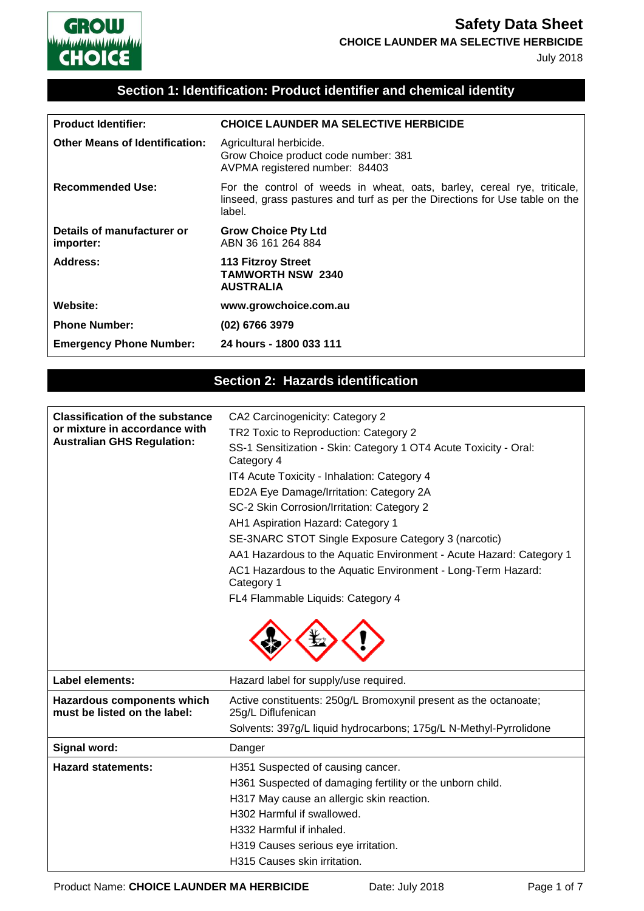

## **Section 1: Identification: Product identifier and chemical identity**

| <b>Product Identifier:</b>              | <b>CHOICE LAUNDER MA SELECTIVE HERBICIDE</b>                                                                                                                     |
|-----------------------------------------|------------------------------------------------------------------------------------------------------------------------------------------------------------------|
| <b>Other Means of Identification:</b>   | Agricultural herbicide.<br>Grow Choice product code number: 381<br>AVPMA registered number: 84403                                                                |
| <b>Recommended Use:</b>                 | For the control of weeds in wheat, oats, barley, cereal rye, triticale,<br>linseed, grass pastures and turf as per the Directions for Use table on the<br>label. |
| Details of manufacturer or<br>importer: | <b>Grow Choice Pty Ltd</b><br>ABN 36 161 264 884                                                                                                                 |
| Address:                                | <b>113 Fitzroy Street</b><br><b>TAMWORTH NSW 2340</b><br><b>AUSTRALIA</b>                                                                                        |
| <b>Website:</b>                         | www.growchoice.com.au                                                                                                                                            |
| <b>Phone Number:</b>                    | (02) 6766 3979                                                                                                                                                   |
| <b>Emergency Phone Number:</b>          | 24 hours - 1800 033 111                                                                                                                                          |

## **Section 2: Hazards identification**

| <b>Classification of the substance</b><br>or mixture in accordance with<br><b>Australian GHS Regulation:</b> | CA2 Carcinogenicity: Category 2<br>TR2 Toxic to Reproduction: Category 2<br>SS-1 Sensitization - Skin: Category 1 OT4 Acute Toxicity - Oral:<br>Category 4<br>IT4 Acute Toxicity - Inhalation: Category 4<br>ED2A Eye Damage/Irritation: Category 2A<br>SC-2 Skin Corrosion/Irritation: Category 2<br>AH1 Aspiration Hazard: Category 1 |
|--------------------------------------------------------------------------------------------------------------|-----------------------------------------------------------------------------------------------------------------------------------------------------------------------------------------------------------------------------------------------------------------------------------------------------------------------------------------|
|                                                                                                              | SE-3NARC STOT Single Exposure Category 3 (narcotic)<br>AA1 Hazardous to the Aquatic Environment - Acute Hazard: Category 1<br>AC1 Hazardous to the Aquatic Environment - Long-Term Hazard:<br>Category 1                                                                                                                                |
|                                                                                                              | FL4 Flammable Liquids: Category 4                                                                                                                                                                                                                                                                                                       |
|                                                                                                              |                                                                                                                                                                                                                                                                                                                                         |
| <b>Label elements:</b>                                                                                       | Hazard label for supply/use required.                                                                                                                                                                                                                                                                                                   |
| Hazardous components which<br>must be listed on the label:                                                   | Active constituents: 250g/L Bromoxynil present as the octanoate;<br>25g/L Diflufenican<br>Solvents: 397g/L liquid hydrocarbons; 175g/L N-Methyl-Pyrrolidone                                                                                                                                                                             |
| Signal word:                                                                                                 | Danger                                                                                                                                                                                                                                                                                                                                  |
| <b>Hazard statements:</b>                                                                                    | H351 Suspected of causing cancer.<br>H361 Suspected of damaging fertility or the unborn child.<br>H317 May cause an allergic skin reaction.                                                                                                                                                                                             |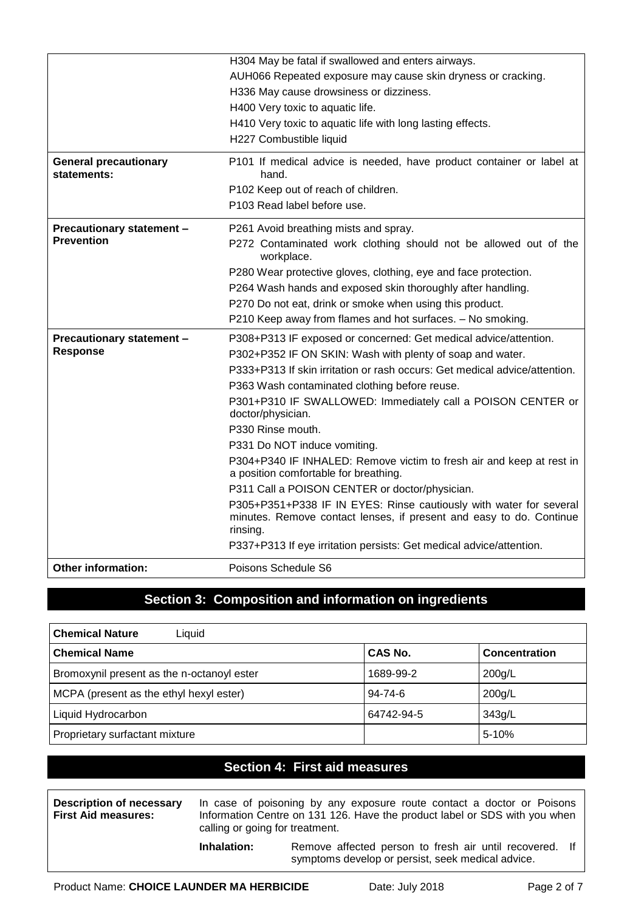|                                             | H304 May be fatal if swallowed and enters airways.                                                                                                    |
|---------------------------------------------|-------------------------------------------------------------------------------------------------------------------------------------------------------|
|                                             | AUH066 Repeated exposure may cause skin dryness or cracking.                                                                                          |
|                                             | H336 May cause drowsiness or dizziness.                                                                                                               |
|                                             | H400 Very toxic to aquatic life.                                                                                                                      |
|                                             | H410 Very toxic to aquatic life with long lasting effects.                                                                                            |
|                                             | H227 Combustible liquid                                                                                                                               |
| <b>General precautionary</b><br>statements: | P101 If medical advice is needed, have product container or label at<br>hand.                                                                         |
|                                             | P102 Keep out of reach of children.                                                                                                                   |
|                                             | P103 Read label before use.                                                                                                                           |
| Precautionary statement -                   | P261 Avoid breathing mists and spray.                                                                                                                 |
| <b>Prevention</b>                           | P272 Contaminated work clothing should not be allowed out of the<br>workplace.                                                                        |
|                                             | P280 Wear protective gloves, clothing, eye and face protection.                                                                                       |
|                                             | P264 Wash hands and exposed skin thoroughly after handling.                                                                                           |
|                                             | P270 Do not eat, drink or smoke when using this product.                                                                                              |
|                                             | P210 Keep away from flames and hot surfaces. - No smoking.                                                                                            |
| Precautionary statement -                   | P308+P313 IF exposed or concerned: Get medical advice/attention.                                                                                      |
| <b>Response</b>                             | P302+P352 IF ON SKIN: Wash with plenty of soap and water.                                                                                             |
|                                             | P333+P313 If skin irritation or rash occurs: Get medical advice/attention.                                                                            |
|                                             | P363 Wash contaminated clothing before reuse.                                                                                                         |
|                                             | P301+P310 IF SWALLOWED: Immediately call a POISON CENTER or<br>doctor/physician.                                                                      |
|                                             | P330 Rinse mouth.                                                                                                                                     |
|                                             | P331 Do NOT induce vomiting.                                                                                                                          |
|                                             | P304+P340 IF INHALED: Remove victim to fresh air and keep at rest in<br>a position comfortable for breathing.                                         |
|                                             | P311 Call a POISON CENTER or doctor/physician.                                                                                                        |
|                                             | P305+P351+P338 IF IN EYES: Rinse cautiously with water for several<br>minutes. Remove contact lenses, if present and easy to do. Continue<br>rinsing. |
|                                             | P337+P313 If eye irritation persists: Get medical advice/attention.                                                                                   |
| <b>Other information:</b>                   | Poisons Schedule S6                                                                                                                                   |

#### **Section 3: Composition and information on ingredients**

| <b>Chemical Nature</b><br>Liquid           |               |                      |
|--------------------------------------------|---------------|----------------------|
| <b>Chemical Name</b>                       | CAS No.       | <b>Concentration</b> |
| Bromoxynil present as the n-octanoyl ester | 1689-99-2     | 200g/L               |
| MCPA (present as the ethyl hexyl ester)    | $94 - 74 - 6$ | $200$ g/L            |
| Liquid Hydrocarbon                         | 64742-94-5    | 343g/L               |
| Proprietary surfactant mixture             |               | $5 - 10%$            |

#### **Section 4: First aid measures**

**Description of necessary First Aid measures:** In case of poisoning by any exposure route contact a doctor or Poisons Information Centre on 131 126. Have the product label or SDS with you when calling or going for treatment. **Inhalation:** Remove affected person to fresh air until recovered. If

symptoms develop or persist, seek medical advice.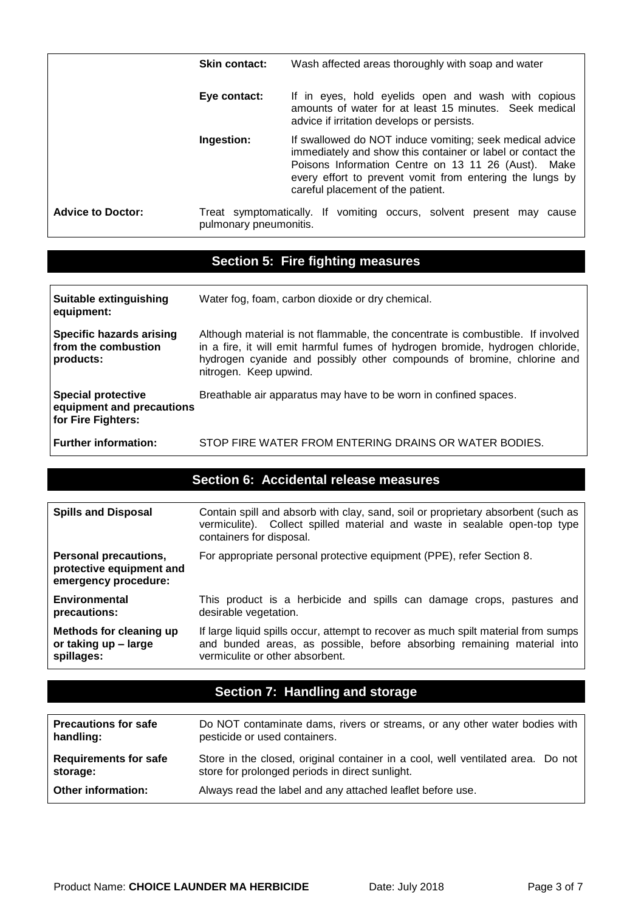|                          | <b>Skin contact:</b>   | Wash affected areas thoroughly with soap and water                                                                                                                                                                                                                              |
|--------------------------|------------------------|---------------------------------------------------------------------------------------------------------------------------------------------------------------------------------------------------------------------------------------------------------------------------------|
|                          | Eye contact:           | If in eyes, hold eyelids open and wash with copious<br>amounts of water for at least 15 minutes. Seek medical<br>advice if irritation develops or persists.                                                                                                                     |
|                          | Ingestion:             | If swallowed do NOT induce vomiting; seek medical advice<br>immediately and show this container or label or contact the<br>Poisons Information Centre on 13 11 26 (Aust). Make<br>every effort to prevent vomit from entering the lungs by<br>careful placement of the patient. |
| <b>Advice to Doctor:</b> | pulmonary pneumonitis. | Treat symptomatically. If vomiting occurs, solvent present may<br>cause                                                                                                                                                                                                         |

# **Section 5: Fire fighting measures**

| Suitable extinguishing<br>equipment:                                         | Water fog, foam, carbon dioxide or dry chemical.                                                                                                                                                                                                                     |
|------------------------------------------------------------------------------|----------------------------------------------------------------------------------------------------------------------------------------------------------------------------------------------------------------------------------------------------------------------|
| <b>Specific hazards arising</b><br>from the combustion<br>products:          | Although material is not flammable, the concentrate is combustible. If involved<br>in a fire, it will emit harmful fumes of hydrogen bromide, hydrogen chloride,<br>hydrogen cyanide and possibly other compounds of bromine, chlorine and<br>nitrogen. Keep upwind. |
| <b>Special protective</b><br>equipment and precautions<br>for Fire Fighters: | Breathable air apparatus may have to be worn in confined spaces.                                                                                                                                                                                                     |
| Further information:                                                         | STOP FIRE WATER FROM ENTERING DRAINS OR WATER BODIES.                                                                                                                                                                                                                |

#### **Section 6: Accidental release measures**

| <b>Spills and Disposal</b>                                                | Contain spill and absorb with clay, sand, soil or proprietary absorbent (such as<br>vermiculite). Collect spilled material and waste in sealable open-top type<br>containers for disposal.       |
|---------------------------------------------------------------------------|--------------------------------------------------------------------------------------------------------------------------------------------------------------------------------------------------|
| Personal precautions,<br>protective equipment and<br>emergency procedure: | For appropriate personal protective equipment (PPE), refer Section 8.                                                                                                                            |
| Environmental<br>precautions:                                             | This product is a herbicide and spills can damage crops, pastures and<br>desirable vegetation.                                                                                                   |
| Methods for cleaning up<br>or taking up - large<br>spillages:             | If large liquid spills occur, attempt to recover as much spilt material from sumps<br>and bunded areas, as possible, before absorbing remaining material into<br>vermiculite or other absorbent. |

# **Section 7: Handling and storage**

| <b>Precautions for safe</b>  | Do NOT contaminate dams, rivers or streams, or any other water bodies with      |
|------------------------------|---------------------------------------------------------------------------------|
| handling:                    | pesticide or used containers.                                                   |
| <b>Requirements for safe</b> | Store in the closed, original container in a cool, well ventilated area. Do not |
| storage:                     | store for prolonged periods in direct sunlight.                                 |
| <b>Other information:</b>    | Always read the label and any attached leaflet before use.                      |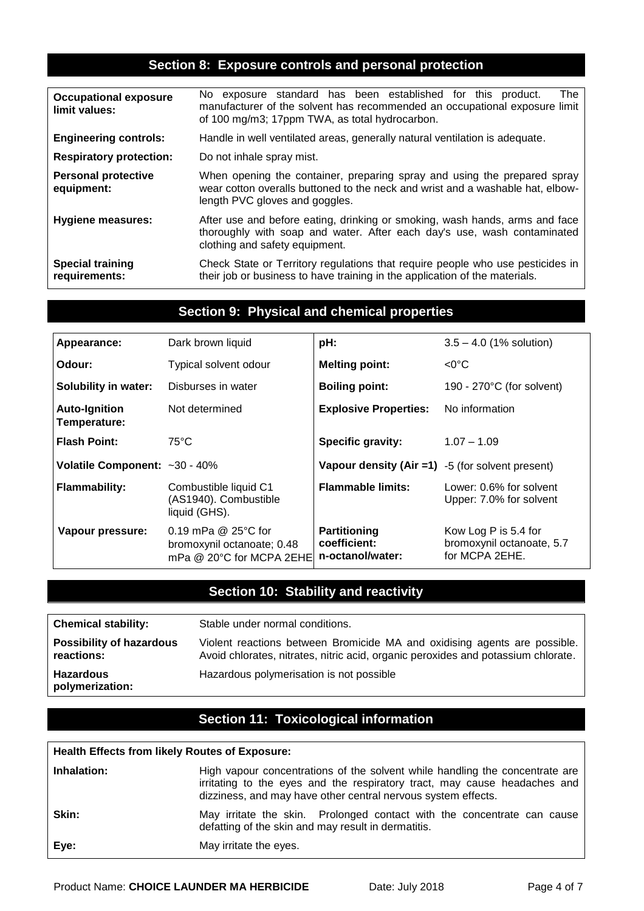#### **Section 8: Exposure controls and personal protection**

| <b>Occupational exposure</b><br>limit values: | No exposure standard has been established for this product.<br>The<br>manufacturer of the solvent has recommended an occupational exposure limit<br>of 100 mg/m3; 17ppm TWA, as total hydrocarbon. |  |
|-----------------------------------------------|----------------------------------------------------------------------------------------------------------------------------------------------------------------------------------------------------|--|
| <b>Engineering controls:</b>                  | Handle in well ventilated areas, generally natural ventilation is adequate.                                                                                                                        |  |
| <b>Respiratory protection:</b>                | Do not inhale spray mist.                                                                                                                                                                          |  |
| <b>Personal protective</b><br>equipment:      | When opening the container, preparing spray and using the prepared spray<br>wear cotton overalls buttoned to the neck and wrist and a washable hat, elbow-<br>length PVC gloves and goggles.       |  |
| <b>Hygiene measures:</b>                      | After use and before eating, drinking or smoking, wash hands, arms and face<br>thoroughly with soap and water. After each day's use, wash contaminated<br>clothing and safety equipment.           |  |
| <b>Special training</b><br>requirements:      | Check State or Territory regulations that require people who use pesticides in<br>their job or business to have training in the application of the materials.                                      |  |

#### **Section 9: Physical and chemical properties**

| Appearance:                          | Dark brown liquid                                                                  | pH:                                                 | $3.5 - 4.0$ (1% solution)                                           |
|--------------------------------------|------------------------------------------------------------------------------------|-----------------------------------------------------|---------------------------------------------------------------------|
| Odour:                               | Typical solvent odour                                                              | <b>Melting point:</b>                               | $<$ 0°C                                                             |
| <b>Solubility in water:</b>          | Disburses in water                                                                 | <b>Boiling point:</b>                               | 190 - 270 $\degree$ C (for solvent)                                 |
| <b>Auto-Ignition</b><br>Temperature: | Not determined                                                                     | <b>Explosive Properties:</b>                        | No information                                                      |
| <b>Flash Point:</b>                  | $75^{\circ}$ C                                                                     | <b>Specific gravity:</b>                            | $1.07 - 1.09$                                                       |
| Volatile Component: ~30 - 40%        |                                                                                    | Vapour density $(Air = 1)$ -5 (for solvent present) |                                                                     |
| <b>Flammability:</b>                 | Combustible liquid C1<br>(AS1940). Combustible<br>liquid (GHS).                    | <b>Flammable limits:</b>                            | Lower: 0.6% for solvent<br>Upper: 7.0% for solvent                  |
| Vapour pressure:                     | 0.19 mPa $@$ 25 $°C$ for<br>bromoxynil octanoate; 0.48<br>mPa @ 20°C for MCPA 2EHE | Partitioning<br>coefficient:<br>n-octanol/water:    | Kow Log P is 5.4 for<br>bromoxynil octanoate, 5.7<br>for MCPA 2EHE. |

# **Section 10: Stability and reactivity**

| <b>Chemical stability:</b>                    | Stable under normal conditions.                                                                                                                                |
|-----------------------------------------------|----------------------------------------------------------------------------------------------------------------------------------------------------------------|
| <b>Possibility of hazardous</b><br>reactions: | Violent reactions between Bromicide MA and oxidising agents are possible.<br>Avoid chlorates, nitrates, nitric acid, organic peroxides and potassium chlorate. |
| <b>Hazardous</b><br>polymerization:           | Hazardous polymerisation is not possible                                                                                                                       |

#### **Section 11: Toxicological information**

#### **Health Effects from likely Routes of Exposure:**

| Inhalation: | High vapour concentrations of the solvent while handling the concentrate are<br>irritating to the eyes and the respiratory tract, may cause headaches and<br>dizziness, and may have other central nervous system effects. |
|-------------|----------------------------------------------------------------------------------------------------------------------------------------------------------------------------------------------------------------------------|
| Skin:       | May irritate the skin. Prolonged contact with the concentrate can cause<br>defatting of the skin and may result in dermatitis.                                                                                             |
| Eye:        | May irritate the eyes.                                                                                                                                                                                                     |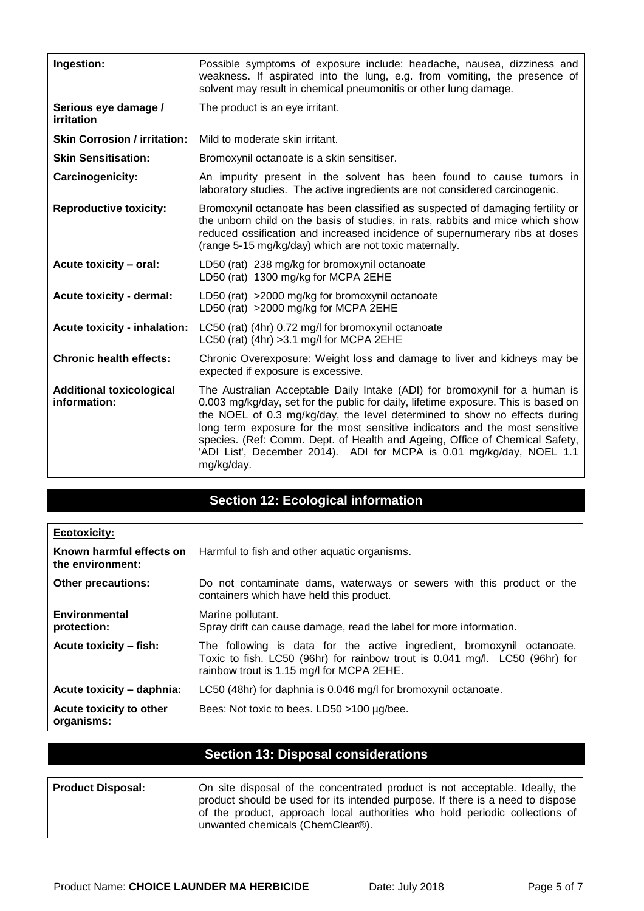| Ingestion:                                      | Possible symptoms of exposure include: headache, nausea, dizziness and<br>weakness. If aspirated into the lung, e.g. from vomiting, the presence of<br>solvent may result in chemical pneumonitis or other lung damage.                                                                                                                                                                                                                                                                           |  |
|-------------------------------------------------|---------------------------------------------------------------------------------------------------------------------------------------------------------------------------------------------------------------------------------------------------------------------------------------------------------------------------------------------------------------------------------------------------------------------------------------------------------------------------------------------------|--|
| Serious eye damage /<br>irritation              | The product is an eye irritant.                                                                                                                                                                                                                                                                                                                                                                                                                                                                   |  |
| <b>Skin Corrosion / irritation:</b>             | Mild to moderate skin irritant.                                                                                                                                                                                                                                                                                                                                                                                                                                                                   |  |
| <b>Skin Sensitisation:</b>                      | Bromoxynil octanoate is a skin sensitiser.                                                                                                                                                                                                                                                                                                                                                                                                                                                        |  |
| Carcinogenicity:                                | An impurity present in the solvent has been found to cause tumors in<br>laboratory studies. The active ingredients are not considered carcinogenic.                                                                                                                                                                                                                                                                                                                                               |  |
| <b>Reproductive toxicity:</b>                   | Bromoxynil octanoate has been classified as suspected of damaging fertility or<br>the unborn child on the basis of studies, in rats, rabbits and mice which show<br>reduced ossification and increased incidence of supernumerary ribs at doses<br>(range 5-15 mg/kg/day) which are not toxic maternally.                                                                                                                                                                                         |  |
| Acute toxicity - oral:                          | LD50 (rat) 238 mg/kg for bromoxynil octanoate<br>LD50 (rat) 1300 mg/kg for MCPA 2EHE                                                                                                                                                                                                                                                                                                                                                                                                              |  |
| Acute toxicity - dermal:                        | LD50 (rat) >2000 mg/kg for bromoxynil octanoate<br>LD50 (rat) >2000 mg/kg for MCPA 2EHE                                                                                                                                                                                                                                                                                                                                                                                                           |  |
| <b>Acute toxicity - inhalation:</b>             | LC50 (rat) (4hr) 0.72 mg/l for bromoxynil octanoate<br>LC50 (rat) (4hr) > 3.1 mg/l for MCPA 2EHE                                                                                                                                                                                                                                                                                                                                                                                                  |  |
| <b>Chronic health effects:</b>                  | Chronic Overexposure: Weight loss and damage to liver and kidneys may be<br>expected if exposure is excessive.                                                                                                                                                                                                                                                                                                                                                                                    |  |
| <b>Additional toxicological</b><br>information: | The Australian Acceptable Daily Intake (ADI) for bromoxynil for a human is<br>0.003 mg/kg/day, set for the public for daily, lifetime exposure. This is based on<br>the NOEL of 0.3 mg/kg/day, the level determined to show no effects during<br>long term exposure for the most sensitive indicators and the most sensitive<br>species. (Ref: Comm. Dept. of Health and Ageing, Office of Chemical Safety,<br>'ADI List', December 2014). ADI for MCPA is 0.01 mg/kg/day, NOEL 1.1<br>mg/kg/day. |  |

## **Section 12: Ecological information**

| <b>Ecotoxicity:</b>                   |                                                                                                                                                                                                    |
|---------------------------------------|----------------------------------------------------------------------------------------------------------------------------------------------------------------------------------------------------|
| the environment:                      | Known harmful effects on Harmful to fish and other aquatic organisms.                                                                                                                              |
| <b>Other precautions:</b>             | Do not contaminate dams, waterways or sewers with this product or the<br>containers which have held this product.                                                                                  |
| Environmental<br>protection:          | Marine pollutant.<br>Spray drift can cause damage, read the label for more information.                                                                                                            |
| Acute toxicity – fish:                | The following is data for the active ingredient, bromoxynil octanoate.<br>Toxic to fish. LC50 (96hr) for rainbow trout is 0.041 mg/l. LC50 (96hr) for<br>rainbow trout is 1.15 mg/l for MCPA 2EHE. |
| Acute toxicity - daphnia:             | LC50 (48hr) for daphnia is 0.046 mg/l for bromoxynil octanoate.                                                                                                                                    |
| Acute toxicity to other<br>organisms: | Bees: Not toxic to bees. LD50 >100 µg/bee.                                                                                                                                                         |

## **Section 13: Disposal considerations**

| <b>Product Disposal:</b> | On site disposal of the concentrated product is not acceptable. Ideally, the                                    |
|--------------------------|-----------------------------------------------------------------------------------------------------------------|
|                          | product should be used for its intended purpose. If there is a need to dispose                                  |
|                          | of the product, approach local authorities who hold periodic collections of<br>unwanted chemicals (ChemClear®). |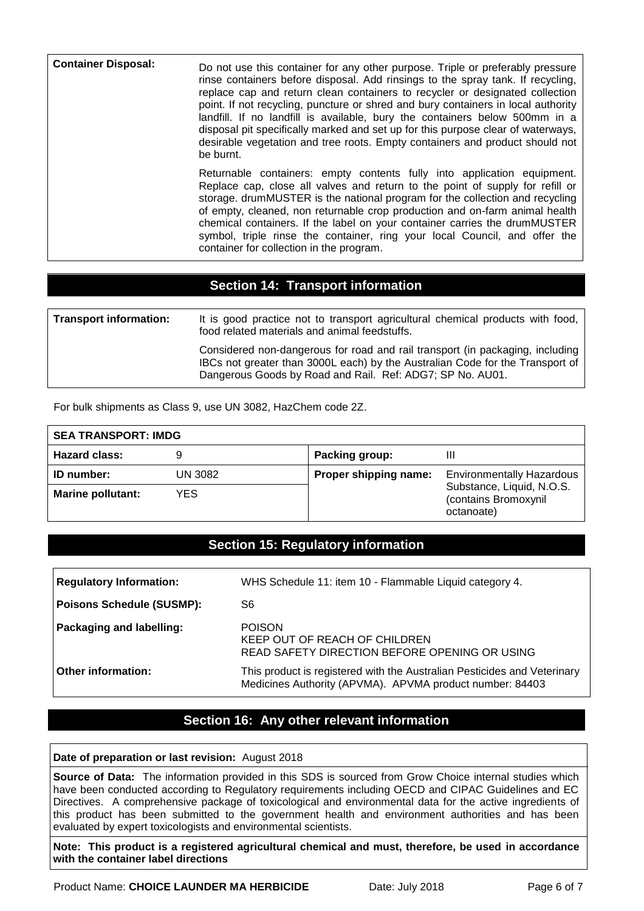| <b>Container Disposal:</b> | Do not use this container for any other purpose. Triple or preferably pressure<br>rinse containers before disposal. Add rinsings to the spray tank. If recycling,<br>replace cap and return clean containers to recycler or designated collection<br>point. If not recycling, puncture or shred and bury containers in local authority<br>landfill. If no landfill is available, bury the containers below 500mm in a<br>disposal pit specifically marked and set up for this purpose clear of waterways,<br>desirable vegetation and tree roots. Empty containers and product should not<br>be burnt. |
|----------------------------|--------------------------------------------------------------------------------------------------------------------------------------------------------------------------------------------------------------------------------------------------------------------------------------------------------------------------------------------------------------------------------------------------------------------------------------------------------------------------------------------------------------------------------------------------------------------------------------------------------|
|                            | Returnable containers: empty contents fully into application equipment.<br>Replace cap, close all valves and return to the point of supply for refill or<br>storage. drumMUSTER is the national program for the collection and recycling<br>of empty, cleaned, non returnable crop production and on-farm animal health<br>chemical containers. If the label on your container carries the drumMUSTER<br>symbol, triple rinse the container, ring your local Council, and offer the<br>container for collection in the program.                                                                        |

#### **Section 14: Transport information**

| <b>Transport information:</b> | It is good practice not to transport agricultural chemical products with food,<br>food related materials and animal feedstuffs.                                                                                             |
|-------------------------------|-----------------------------------------------------------------------------------------------------------------------------------------------------------------------------------------------------------------------------|
|                               | Considered non-dangerous for road and rail transport (in packaging, including<br>IBCs not greater than 3000L each) by the Australian Code for the Transport of<br>Dangerous Goods by Road and Rail. Ref: ADG7; SP No. AU01. |

For bulk shipments as Class 9, use UN 3082, HazChem code 2Z.

| <b>SEA TRANSPORT: IMDG</b> |         |                       |                                                                 |
|----------------------------|---------|-----------------------|-----------------------------------------------------------------|
| <b>Hazard class:</b>       |         | Packing group:        | Ш                                                               |
| <b>ID</b> number:          | UN 3082 | Proper shipping name: | <b>Environmentally Hazardous</b>                                |
| <b>Marine pollutant:</b>   | YES.    |                       | Substance, Liquid, N.O.S.<br>(contains Bromoxynil<br>octanoate) |

#### **Section 15: Regulatory information**

| <b>Regulatory Information:</b>   | WHS Schedule 11: item 10 - Flammable Liquid category 4.                                                                              |
|----------------------------------|--------------------------------------------------------------------------------------------------------------------------------------|
| <b>Poisons Schedule (SUSMP):</b> | S6                                                                                                                                   |
| Packaging and labelling:         | <b>POISON</b><br>KEEP OUT OF REACH OF CHILDREN<br>READ SAFETY DIRECTION BEFORE OPENING OR USING                                      |
| <b>Other information:</b>        | This product is registered with the Australian Pesticides and Veterinary<br>Medicines Authority (APVMA). APVMA product number: 84403 |

## **Section 16: Any other relevant information**

#### **Date of preparation or last revision:** August 2018

**Source of Data:** The information provided in this SDS is sourced from Grow Choice internal studies which have been conducted according to Regulatory requirements including OECD and CIPAC Guidelines and EC Directives. A comprehensive package of toxicological and environmental data for the active ingredients of this product has been submitted to the government health and environment authorities and has been evaluated by expert toxicologists and environmental scientists.

**Note: This product is a registered agricultural chemical and must, therefore, be used in accordance with the container label directions** 

Product Name: CHOICE LAUNDER MA HERBICIDE Date: July 2018 Page 6 of 7